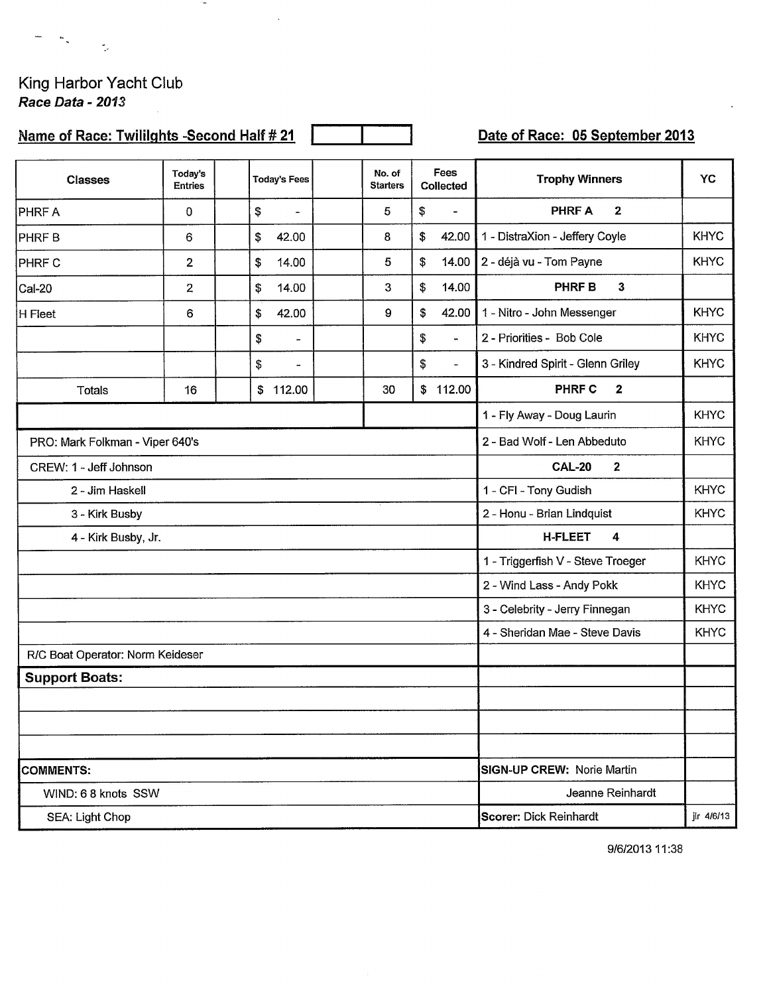King Harbor Yacht Club<br>Race Data - 2013

 $\frac{1}{2}$ 

 $\overline{\phantom{0}}$  $\sim 10$ 

## Name of Race: Twililghts -Second Half # 21

 $\sim$ 

 $\ddot{\phantom{0}}$ 

Date of Race: 05 September 2013

| <b>Classes</b>                   | Today's<br><b>Entries</b> | <b>Today's Fees</b>                         | No. of<br><b>Starters</b> |             | Fees<br>Collected | <b>Trophy Winners</b>             | YC          |
|----------------------------------|---------------------------|---------------------------------------------|---------------------------|-------------|-------------------|-----------------------------------|-------------|
| <b>PHRF A</b>                    | 0                         | \$<br>$\blacksquare$                        | 5                         | \$          | $\blacksquare$    | $\overline{2}$<br><b>PHRFA</b>    |             |
| <b>PHRFB</b>                     | 6                         | \$<br>42.00                                 | 8                         | \$          | 42.00             | 1 - DistraXion - Jeffery Coyle    | <b>KHYC</b> |
| <b>PHRF C</b>                    | $\overline{2}$            | 14.00<br>\$                                 | 5                         | \$          | 14.00             | 2 - déjà vu - Tom Payne           | <b>KHYC</b> |
| Cal-20                           | $\overline{2}$            | \$<br>14.00                                 | 3                         | \$<br>14.00 |                   | $\mathbf 3$<br><b>PHRF B</b>      |             |
| H Fleet                          | 6                         | \$<br>42.00                                 | 9                         | \$          | 42.00             | 1 - Nitro - John Messenger        | <b>KHYC</b> |
|                                  |                           | \$<br>٠                                     |                           | \$          | w.                | 2 - Priorities - Bob Cole         | <b>KHYC</b> |
|                                  |                           | \$<br>$\overline{\phantom{a}}$              |                           | \$          | $\equiv$          | 3 - Kindred Spirit - Glenn Griley | <b>KHYC</b> |
| <b>Totals</b>                    | 16                        | \$112.00                                    | 30                        |             | \$112.00          | PHRF C<br>$\mathbf{2}$            |             |
|                                  |                           |                                             |                           |             |                   | 1 - Fly Away - Doug Laurin        | <b>KHYC</b> |
| PRO: Mark Folkman - Viper 640's  |                           | 2 - Bad Wolf - Len Abbeduto                 | <b>KHYC</b>               |             |                   |                                   |             |
| CREW: 1 - Jeff Johnson           |                           | $\overline{2}$<br><b>CAL-20</b>             |                           |             |                   |                                   |             |
| 2 - Jim Haskell                  |                           | 1 - CFI - Tony Gudish                       | <b>KHYC</b>               |             |                   |                                   |             |
| 3 - Kirk Busby                   |                           | 2 - Honu - Brian Lindquist                  | <b>KHYC</b>               |             |                   |                                   |             |
| 4 - Kirk Busby, Jr.              |                           | <b>H-FLEET</b><br>4                         |                           |             |                   |                                   |             |
|                                  |                           |                                             |                           |             |                   | 1 - Triggerfish V - Steve Troeger | <b>KHYC</b> |
|                                  |                           |                                             |                           |             |                   | 2 - Wind Lass - Andy Pokk         | <b>KHYC</b> |
|                                  |                           |                                             |                           |             |                   | 3 - Celebrity - Jerry Finnegan    | <b>KHYC</b> |
|                                  |                           |                                             |                           |             |                   | 4 - Sheridan Mae - Steve Davis    | <b>KHYC</b> |
| R/C Boat Operator: Norm Keideser |                           |                                             |                           |             |                   |                                   |             |
| <b>Support Boats:</b>            |                           |                                             |                           |             |                   |                                   |             |
|                                  |                           |                                             |                           |             |                   |                                   |             |
|                                  |                           |                                             |                           |             |                   |                                   |             |
|                                  |                           |                                             |                           |             |                   |                                   |             |
| <b>COMMENTS:</b>                 |                           | SIGN-UP CREW: Norie Martin                  |                           |             |                   |                                   |             |
| WIND: 6 8 knots SSW              |                           | Jeanne Reinhardt                            |                           |             |                   |                                   |             |
| SEA: Light Chop                  |                           | <b>Scorer: Dick Reinhardt</b><br>jir 4/6/13 |                           |             |                   |                                   |             |

9/6/2013 11:38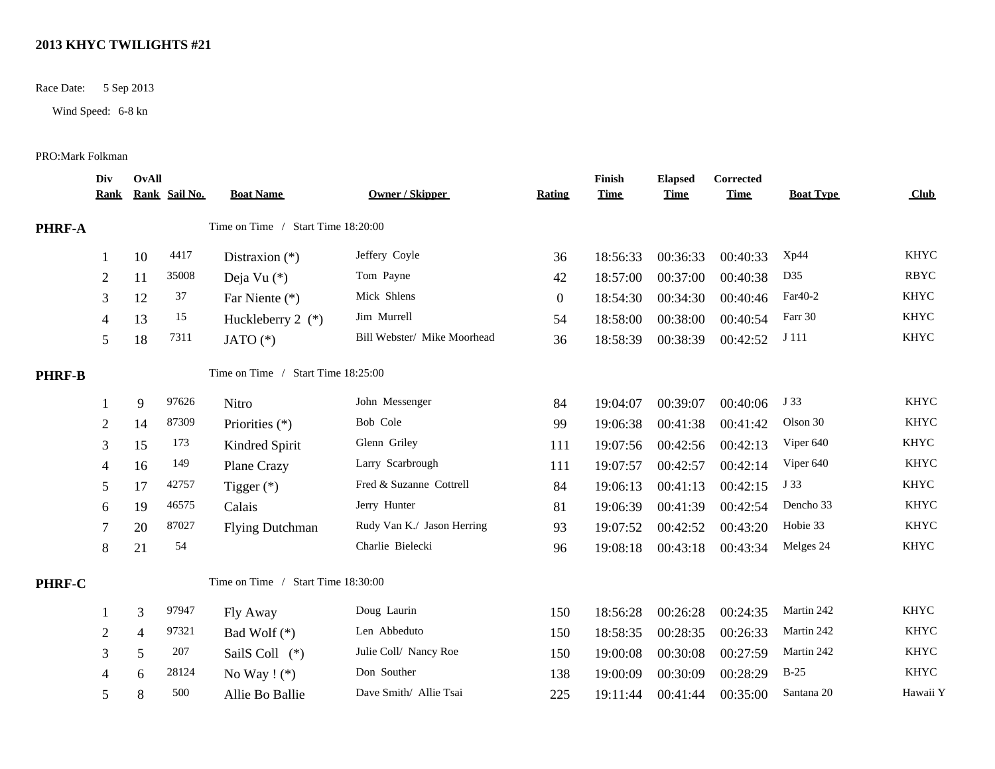## **2013 KHYC TWILIGHTS #21**

Race Date: 5 Sep 2013

Wind Speed: 6-8 kn

## PRO:Mark Folkman

|               | Div<br><u>Rank</u> | OvAll          | Rank Sail No. | <b>Boat Name</b>                   | <b>Owner / Skipper</b>      | <b>Rating</b>  | Finish<br><b>Time</b> | <b>Elapsed</b><br><b>Time</b> | <b>Corrected</b><br><b>Time</b> | <b>Boat Type</b> | Club        |
|---------------|--------------------|----------------|---------------|------------------------------------|-----------------------------|----------------|-----------------------|-------------------------------|---------------------------------|------------------|-------------|
| <b>PHRF-A</b> |                    |                |               | Time on Time / Start Time 18:20:00 |                             |                |                       |                               |                                 |                  |             |
|               |                    | 10             | 4417          | Distraxion $(*)$                   | Jeffery Coyle               | 36             | 18:56:33              | 00:36:33                      | 00:40:33                        | Xp44             | <b>KHYC</b> |
|               | $\mathbf{2}$       | 11             | 35008         | Deja Vu (*)                        | Tom Payne                   | 42             | 18:57:00              | 00:37:00                      | 00:40:38                        | D35              | <b>RBYC</b> |
|               | 3                  | 12             | 37            | Far Niente (*)                     | Mick Shlens                 | $\overline{0}$ | 18:54:30              | 00:34:30                      | 00:40:46                        | Far40-2          | <b>KHYC</b> |
|               | 4                  | 13             | 15            | Huckleberry $2$ (*)                | Jim Murrell                 | 54             | 18:58:00              | 00:38:00                      | 00:40:54                        | Farr 30          | <b>KHYC</b> |
|               | 5                  | 18             | 7311          | JATO $(*)$                         | Bill Webster/ Mike Moorhead | 36             | 18:58:39              | 00:38:39                      | 00:42:52                        | J 111            | <b>KHYC</b> |
| <b>PHRF-B</b> |                    |                |               | Time on Time / Start Time 18:25:00 |                             |                |                       |                               |                                 |                  |             |
|               |                    | 9              | 97626         | Nitro                              | John Messenger              | 84             | 19:04:07              | 00:39:07                      | 00:40:06                        | J 33             | <b>KHYC</b> |
|               | $\mathbf{2}$       | 14             | 87309         | Priorities $(*)$                   | Bob Cole                    | 99             | 19:06:38              | 00:41:38                      | 00:41:42                        | Olson 30         | <b>KHYC</b> |
|               | 3                  | 15             | 173           | Kindred Spirit                     | Glenn Griley                | 111            | 19:07:56              | 00:42:56                      | 00:42:13                        | Viper 640        | <b>KHYC</b> |
|               | 4                  | 16             | 149           | Plane Crazy                        | Larry Scarbrough            | 111            | 19:07:57              | 00:42:57                      | 00:42:14                        | Viper 640        | <b>KHYC</b> |
|               | 5                  | 17             | 42757         | Tigger $(*)$                       | Fred & Suzanne Cottrell     | 84             | 19:06:13              | 00:41:13                      | 00:42:15                        | J 33             | <b>KHYC</b> |
|               | 6                  | 19             | 46575         | Calais                             | Jerry Hunter                | 81             | 19:06:39              | 00:41:39                      | 00:42:54                        | Dencho 33        | <b>KHYC</b> |
|               |                    | 20             | 87027         | <b>Flying Dutchman</b>             | Rudy Van K./ Jason Herring  | 93             | 19:07:52              | 00:42:52                      | 00:43:20                        | Hobie 33         | <b>KHYC</b> |
|               | 8                  | 21             | 54            |                                    | Charlie Bielecki            | 96             | 19:08:18              | 00:43:18                      | 00:43:34                        | Melges 24        | <b>KHYC</b> |
| PHRF-C        |                    |                |               | Time on Time / Start Time 18:30:00 |                             |                |                       |                               |                                 |                  |             |
|               |                    | 3              | 97947         | Fly Away                           | Doug Laurin                 | 150            | 18:56:28              | 00:26:28                      | 00:24:35                        | Martin 242       | <b>KHYC</b> |
|               | $\mathbf{2}$       | $\overline{4}$ | 97321         | Bad Wolf $(*)$                     | Len Abbeduto                | 150            | 18:58:35              | 00:28:35                      | 00:26:33                        | Martin 242       | <b>KHYC</b> |
|               | 3                  | 5              | 207           | SailS Coll (*)                     | Julie Coll/ Nancy Roe       | 150            | 19:00:08              | 00:30:08                      | 00:27:59                        | Martin 242       | <b>KHYC</b> |
|               | 4                  | 6              | 28124         | No Way $!$ (*)                     | Don Souther                 | 138            | 19:00:09              | 00:30:09                      | 00:28:29                        | $B-25$           | <b>KHYC</b> |
|               | 5                  | 8              | 500           | Allie Bo Ballie                    | Dave Smith/ Allie Tsai      | 225            | 19:11:44              | 00:41:44                      | 00:35:00                        | Santana 20       | Hawaii Y    |